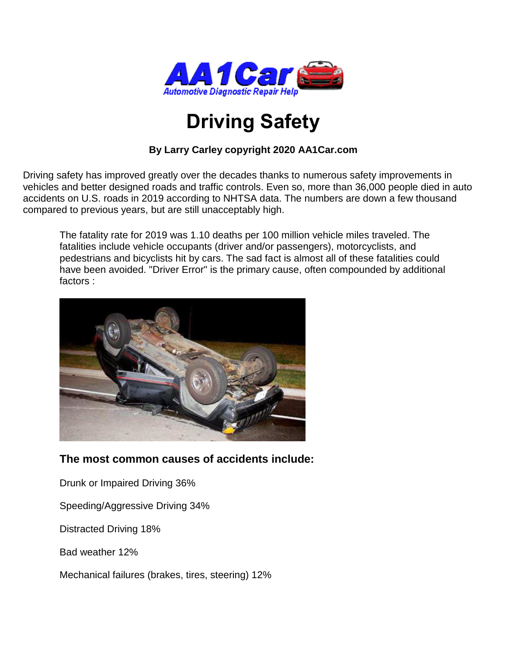

# **Driving Safety**

#### **By Larry Carley copyright 2020 AA1Car.com**

Driving safety has improved greatly over the decades thanks to numerous safety improvements in vehicles and better designed roads and traffic controls. Even so, more than 36,000 people died in auto accidents on U.S. roads in 2019 according to NHTSA data. The numbers are down a few thousand compared to previous years, but are still unacceptably high.

The fatality rate for 2019 was 1.10 deaths per 100 million vehicle miles traveled. The fatalities include vehicle occupants (driver and/or passengers), motorcyclists, and pedestrians and bicyclists hit by cars. The sad fact is almost all of these fatalities could have been avoided. "Driver Error" is the primary cause, often compounded by additional factors :



### **The most common causes of accidents include:**

Drunk or Impaired Driving 36%

Speeding/Aggressive Driving 34%

Distracted Driving 18%

Bad weather 12%

Mechanical failures (brakes, tires, steering) 12%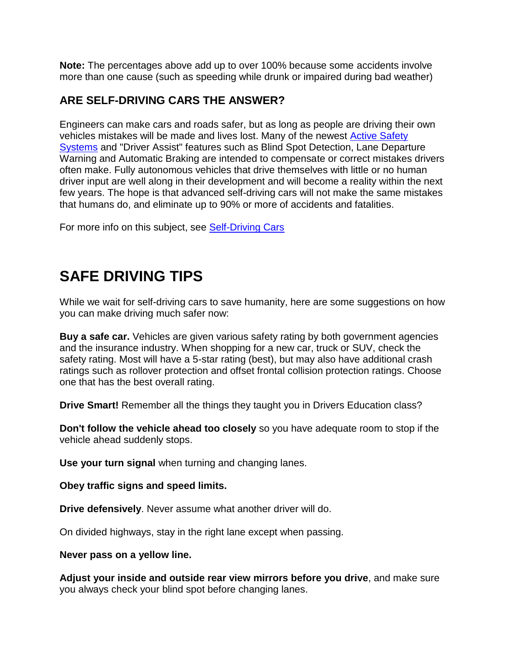**Note:** The percentages above add up to over 100% because some accidents involve more than one cause (such as speeding while drunk or impaired during bad weather)

#### **ARE SELF-DRIVING CARS THE ANSWER?**

Engineers can make cars and roads safer, but as long as people are driving their own vehicles mistakes will be made and lives lost. Many of the newest **Active Safety** [Systems](http://www.aa1car.com/library/active_safety_systems_2014.pdf) and "Driver Assist" features such as Blind Spot Detection, Lane Departure Warning and Automatic Braking are intended to compensate or correct mistakes drivers often make. Fully autonomous vehicles that drive themselves with little or no human driver input are well along in their development and will become a reality within the next few years. The hope is that advanced self-driving cars will not make the same mistakes that humans do, and eliminate up to 90% or more of accidents and fatalities.

For more info on this subject, see [Self-Driving Cars](https://www.aa1car.com/blog/self_driving_cars.htm)

## **SAFE DRIVING TIPS**

While we wait for self-driving cars to save humanity, here are some suggestions on how you can make driving much safer now:

**Buy a safe car.** Vehicles are given various safety rating by both government agencies and the insurance industry. When shopping for a new car, truck or SUV, check the safety rating. Most will have a 5-star rating (best), but may also have additional crash ratings such as rollover protection and offset frontal collision protection ratings. Choose one that has the best overall rating.

**Drive Smart!** Remember all the things they taught you in Drivers Education class?

**Don't follow the vehicle ahead too closely** so you have adequate room to stop if the vehicle ahead suddenly stops.

**Use your turn signal** when turning and changing lanes.

**Obey traffic signs and speed limits.** 

**Drive defensively**. Never assume what another driver will do.

On divided highways, stay in the right lane except when passing.

**Never pass on a yellow line.** 

**Adjust your inside and outside rear view mirrors before you drive**, and make sure you always check your blind spot before changing lanes.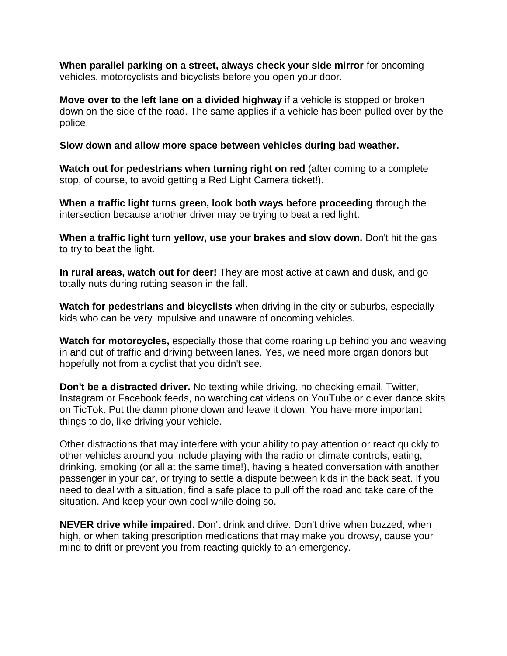**When parallel parking on a street, always check your side mirror** for oncoming vehicles, motorcyclists and bicyclists before you open your door.

**Move over to the left lane on a divided highway** if a vehicle is stopped or broken down on the side of the road. The same applies if a vehicle has been pulled over by the police.

**Slow down and allow more space between vehicles during bad weather.** 

**Watch out for pedestrians when turning right on red** (after coming to a complete stop, of course, to avoid getting a Red Light Camera ticket!).

**When a traffic light turns green, look both ways before proceeding** through the intersection because another driver may be trying to beat a red light.

**When a traffic light turn yellow, use your brakes and slow down.** Don't hit the gas to try to beat the light.

**In rural areas, watch out for deer!** They are most active at dawn and dusk, and go totally nuts during rutting season in the fall.

**Watch for pedestrians and bicyclists** when driving in the city or suburbs, especially kids who can be very impulsive and unaware of oncoming vehicles.

**Watch for motorcycles,** especially those that come roaring up behind you and weaving in and out of traffic and driving between lanes. Yes, we need more organ donors but hopefully not from a cyclist that you didn't see.

**Don't be a distracted driver.** No texting while driving, no checking email, Twitter, Instagram or Facebook feeds, no watching cat videos on YouTube or clever dance skits on TicTok. Put the damn phone down and leave it down. You have more important things to do, like driving your vehicle.

Other distractions that may interfere with your ability to pay attention or react quickly to other vehicles around you include playing with the radio or climate controls, eating, drinking, smoking (or all at the same time!), having a heated conversation with another passenger in your car, or trying to settle a dispute between kids in the back seat. If you need to deal with a situation, find a safe place to pull off the road and take care of the situation. And keep your own cool while doing so.

**NEVER drive while impaired.** Don't drink and drive. Don't drive when buzzed, when high, or when taking prescription medications that may make you drowsy, cause your mind to drift or prevent you from reacting quickly to an emergency.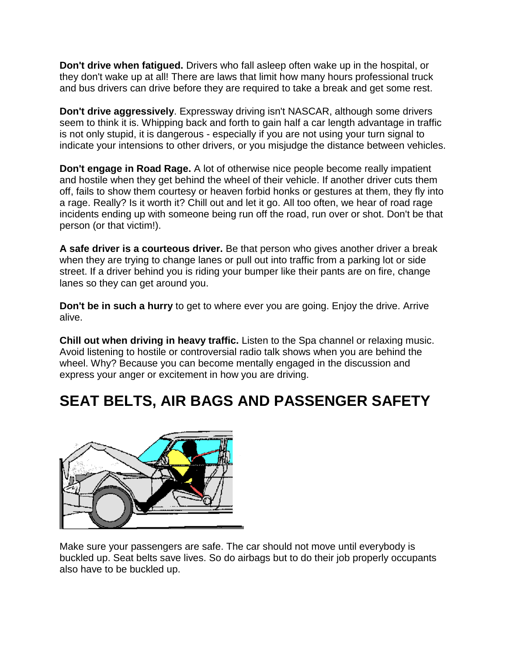**Don't drive when fatigued.** Drivers who fall asleep often wake up in the hospital, or they don't wake up at all! There are laws that limit how many hours professional truck and bus drivers can drive before they are required to take a break and get some rest.

**Don't drive aggressively**. Expressway driving isn't NASCAR, although some drivers seem to think it is. Whipping back and forth to gain half a car length advantage in traffic is not only stupid, it is dangerous - especially if you are not using your turn signal to indicate your intensions to other drivers, or you misjudge the distance between vehicles.

**Don't engage in Road Rage.** A lot of otherwise nice people become really impatient and hostile when they get behind the wheel of their vehicle. If another driver cuts them off, fails to show them courtesy or heaven forbid honks or gestures at them, they fly into a rage. Really? Is it worth it? Chill out and let it go. All too often, we hear of road rage incidents ending up with someone being run off the road, run over or shot. Don't be that person (or that victim!).

**A safe driver is a courteous driver.** Be that person who gives another driver a break when they are trying to change lanes or pull out into traffic from a parking lot or side street. If a driver behind you is riding your bumper like their pants are on fire, change lanes so they can get around you.

**Don't be in such a hurry** to get to where ever you are going. Enjoy the drive. Arrive alive.

**Chill out when driving in heavy traffic.** Listen to the Spa channel or relaxing music. Avoid listening to hostile or controversial radio talk shows when you are behind the wheel. Why? Because you can become mentally engaged in the discussion and express your anger or excitement in how you are driving.

# **SEAT BELTS, AIR BAGS AND PASSENGER SAFETY**



Make sure your passengers are safe. The car should not move until everybody is buckled up. Seat belts save lives. So do airbags but to do their job properly occupants also have to be buckled up.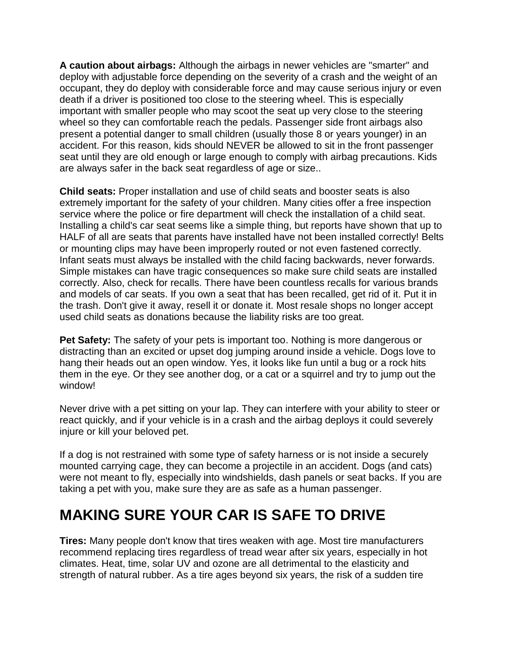**A caution about airbags:** Although the airbags in newer vehicles are "smarter" and deploy with adjustable force depending on the severity of a crash and the weight of an occupant, they do deploy with considerable force and may cause serious injury or even death if a driver is positioned too close to the steering wheel. This is especially important with smaller people who may scoot the seat up very close to the steering wheel so they can comfortable reach the pedals. Passenger side front airbags also present a potential danger to small children (usually those 8 or years younger) in an accident. For this reason, kids should NEVER be allowed to sit in the front passenger seat until they are old enough or large enough to comply with airbag precautions. Kids are always safer in the back seat regardless of age or size..

**Child seats:** Proper installation and use of child seats and booster seats is also extremely important for the safety of your children. Many cities offer a free inspection service where the police or fire department will check the installation of a child seat. Installing a child's car seat seems like a simple thing, but reports have shown that up to HALF of all are seats that parents have installed have not been installed correctly! Belts or mounting clips may have been improperly routed or not even fastened correctly. Infant seats must always be installed with the child facing backwards, never forwards. Simple mistakes can have tragic consequences so make sure child seats are installed correctly. Also, check for recalls. There have been countless recalls for various brands and models of car seats. If you own a seat that has been recalled, get rid of it. Put it in the trash. Don't give it away, resell it or donate it. Most resale shops no longer accept used child seats as donations because the liability risks are too great.

**Pet Safety:** The safety of your pets is important too. Nothing is more dangerous or distracting than an excited or upset dog jumping around inside a vehicle. Dogs love to hang their heads out an open window. Yes, it looks like fun until a bug or a rock hits them in the eye. Or they see another dog, or a cat or a squirrel and try to jump out the window!

Never drive with a pet sitting on your lap. They can interfere with your ability to steer or react quickly, and if your vehicle is in a crash and the airbag deploys it could severely injure or kill your beloved pet.

If a dog is not restrained with some type of safety harness or is not inside a securely mounted carrying cage, they can become a projectile in an accident. Dogs (and cats) were not meant to fly, especially into windshields, dash panels or seat backs. If you are taking a pet with you, make sure they are as safe as a human passenger.

### **MAKING SURE YOUR CAR IS SAFE TO DRIVE**

**Tires:** Many people don't know that tires weaken with age. Most tire manufacturers recommend replacing tires regardless of tread wear after six years, especially in hot climates. Heat, time, solar UV and ozone are all detrimental to the elasticity and strength of natural rubber. As a tire ages beyond six years, the risk of a sudden tire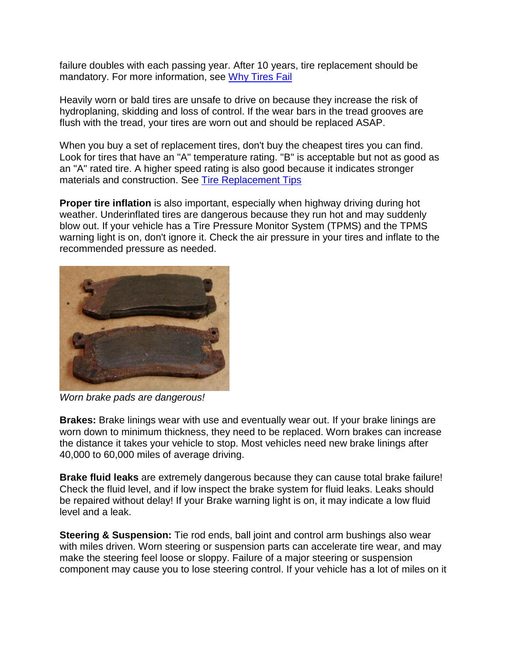failure doubles with each passing year. After 10 years, tire replacement should be mandatory. For more information, see [Why Tires Fail](https://www.aa1car.com/library/tirefail.htm)

Heavily worn or bald tires are unsafe to drive on because they increase the risk of hydroplaning, skidding and loss of control. If the wear bars in the tread grooves are flush with the tread, your tires are worn out and should be replaced ASAP.

When you buy a set of replacement tires, don't buy the cheapest tires you can find. Look for tires that have an "A" temperature rating. "B" is acceptable but not as good as an "A" rated tire. A higher speed rating is also good because it indicates stronger materials and construction. See [Tire Replacement Tips](https://www.aa1car.com/library/tires_replace.htm)

**Proper tire inflation** is also important, especially when highway driving during hot weather. Underinflated tires are dangerous because they run hot and may suddenly blow out. If your vehicle has a Tire Pressure Monitor System (TPMS) and the TPMS warning light is on, don't ignore it. Check the air pressure in your tires and inflate to the recommended pressure as needed.



*Worn brake pads are dangerous!*

**Brakes:** Brake linings wear with use and eventually wear out. If your brake linings are worn down to minimum thickness, they need to be replaced. Worn brakes can increase the distance it takes your vehicle to stop. Most vehicles need new brake linings after 40,000 to 60,000 miles of average driving.

**Brake fluid leaks** are extremely dangerous because they can cause total brake failure! Check the fluid level, and if low inspect the brake system for fluid leaks. Leaks should be repaired without delay! If your Brake warning light is on, it may indicate a low fluid level and a leak.

**Steering & Suspension:** Tie rod ends, ball joint and control arm bushings also wear with miles driven. Worn steering or suspension parts can accelerate tire wear, and may make the steering feel loose or sloppy. Failure of a major steering or suspension component may cause you to lose steering control. If your vehicle has a lot of miles on it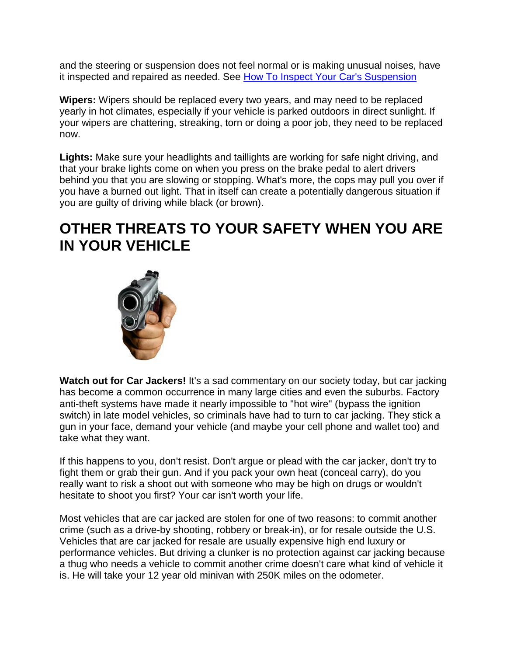and the steering or suspension does not feel normal or is making unusual noises, have it inspected and repaired as needed. See How To Inspect Your Car's Suspension

**Wipers:** Wipers should be replaced every two years, and may need to be replaced yearly in hot climates, especially if your vehicle is parked outdoors in direct sunlight. If your wipers are chattering, streaking, torn or doing a poor job, they need to be replaced now.

**Lights:** Make sure your headlights and taillights are working for safe night driving, and that your brake lights come on when you press on the brake pedal to alert drivers behind you that you are slowing or stopping. What's more, the cops may pull you over if you have a burned out light. That in itself can create a potentially dangerous situation if you are guilty of driving while black (or brown).

### **OTHER THREATS TO YOUR SAFETY WHEN YOU ARE IN YOUR VEHICLE**



**Watch out for Car Jackers!** It's a sad commentary on our society today, but car jacking has become a common occurrence in many large cities and even the suburbs. Factory anti-theft systems have made it nearly impossible to "hot wire" (bypass the ignition switch) in late model vehicles, so criminals have had to turn to car jacking. They stick a gun in your face, demand your vehicle (and maybe your cell phone and wallet too) and take what they want.

If this happens to you, don't resist. Don't argue or plead with the car jacker, don't try to fight them or grab their gun. And if you pack your own heat (conceal carry), do you really want to risk a shoot out with someone who may be high on drugs or wouldn't hesitate to shoot you first? Your car isn't worth your life.

Most vehicles that are car jacked are stolen for one of two reasons: to commit another crime (such as a drive-by shooting, robbery or break-in), or for resale outside the U.S. Vehicles that are car jacked for resale are usually expensive high end luxury or performance vehicles. But driving a clunker is no protection against car jacking because a thug who needs a vehicle to commit another crime doesn't care what kind of vehicle it is. He will take your 12 year old minivan with 250K miles on the odometer.